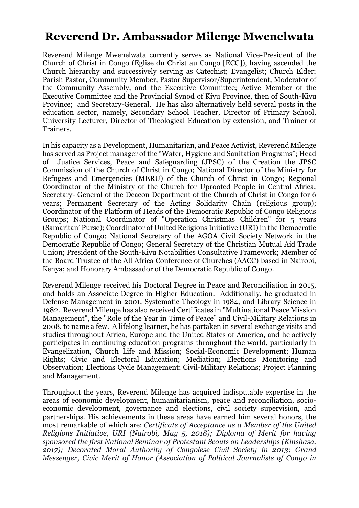## **Reverend Dr. Ambassador Milenge Mwenelwata**

Reverend Milenge Mwenelwata currently serves as National Vice-President of the Church of Christ in Congo (Eglise du Christ au Congo [ECC]), having ascended the Church hierarchy and successively serving as Catechist; Evangelist; Church Elder; Parish Pastor, Community Member, Pastor Supervisor/Superintendent, Moderator of the Community Assembly, and the Executive Committee; Active Member of the Executive Committee and the Provincial Synod of Kivu Province, then of South-Kivu Province; and Secretary-General. He has also alternatively held several posts in the education sector, namely, Secondary School Teacher, Director of Primary School, University Lecturer, Director of Theological Education by extension, and Trainer of Trainers.

In his capacity as a Development, Humanitarian, and Peace Activist, Reverend Milenge has served as Project manager of the "Water, Hygiene and Sanitation Programs"; Head of Justice Services, Peace and Safeguarding (JPSC) of the Creation the JPSC Commission of the Church of Christ in Congo; National Director of the Ministry for Refugees and Emergencies (MERU) of the Church of Christ in Congo; Regional Coordinator of the Ministry of the Church for Uprooted People in Central Africa; Secretary- General of the Deacon Department of the Church of Christ in Congo for 6 years; Permanent Secretary of the Acting Solidarity Chain (religious group); Coordinator of the Platform of Heads of the Democratic Republic of Congo Religious Groups; National Coordinator of "Operation Christmas Children" for 5 years (Samaritan' Purse); Coordinator of United Religions Initiative (URI) in the Democratic Republic of Congo; National Secretary of the AGOA Civil Society Network in the Democratic Republic of Congo; General Secretary of the Christian Mutual Aid Trade Union; President of the South-Kivu Notabilities Consultative Framework; Member of the Board Trustee of the All Africa Conference of Churches (AACC) based in Nairobi, Kenya; and Honorary Ambassador of the Democratic Republic of Congo.

Reverend Milenge received his Doctoral Degree in Peace and Reconciliation in 2015, and holds an Associate Degree in Higher Education. Additionally, he graduated in Defense Management in 2001, Systematic Theology in 1984, and Library Science in 1982. Reverend Milenge has also received Certificates in "Multinational Peace Mission Management", the "Role of the Year in Time of Peace" and Civil-Military Relations in 2008, to name a few. A lifelong learner, he has partaken in several exchange visits and studies throughout Africa, Europe and the United States of America, and he actively participates in continuing education programs throughout the world, particularly in Evangelization, Church Life and Mission; Social-Economic Development; Human Rights; Civic and Electoral Education; Mediation; Elections Monitoring and Observation; Elections Cycle Management; Civil-Military Relations; Project Planning and Management.

Throughout the years, Reverend Milenge has acquired indisputable expertise in the areas of economic development, humanitarianism, peace and reconciliation, socioeconomic development, governance and elections, civil society supervision, and partnerships. His achievements in these areas have earned him several honors, the most remarkable of which are: *Certificate of Acceptance as a Member of the United Religions Initiative, URI (Nairobi, May 5, 2018); Diploma of Merit for having sponsored the first National Seminar of Protestant Scouts on Leaderships (Kinshasa, 2017); Decorated Moral Authority of Congolese Civil Society in 2013; Grand Messenger, Civic Merit of Honor (Association of Political Journalists of Congo in*